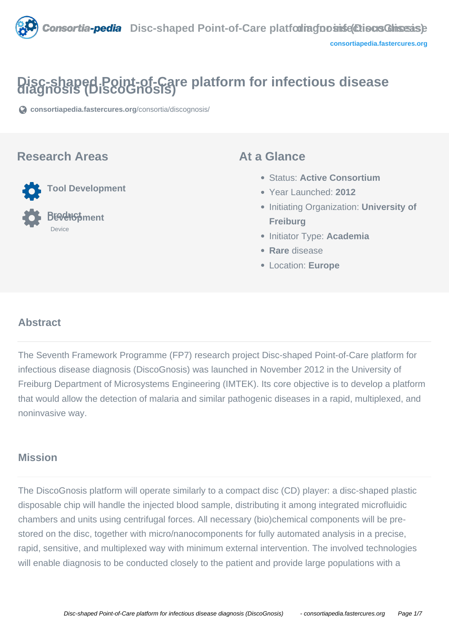

# **Disc-shaped Point-of-Care platform for infectious disease diagnosis (DiscoGnosis)**

**[consortiapedia.fastercures.org](https://consortiapedia.fastercures.org/consortia/discognosis/)**[/consortia/discognosis/](https://consortiapedia.fastercures.org/consortia/discognosis/)

#### **Research Areas**



### **At a Glance**

- Status: **Active Consortium**
- Year Launched: **2012**
- **Initiating Organization: University of Freiburg**
- Initiator Type: **Academia**
- **Rare** disease
- Location: **Europe**

# **Abstract**

The Seventh Framework Programme (FP7) research project Disc-shaped Point-of-Care platform for infectious disease diagnosis (DiscoGnosis) was launched in November 2012 in the University of Freiburg Department of Microsystems Engineering (IMTEK). Its core objective is to develop a platform that would allow the detection of malaria and similar pathogenic diseases in a rapid, multiplexed, and noninvasive way.

# **Mission**

The DiscoGnosis platform will operate similarly to a compact disc (CD) player: a disc-shaped plastic disposable chip will handle the injected blood sample, distributing it among integrated microfluidic chambers and units using centrifugal forces. All necessary (bio)chemical components will be prestored on the disc, together with micro/nanocomponents for fully automated analysis in a precise, rapid, sensitive, and multiplexed way with minimum external intervention. The involved technologies will enable diagnosis to be conducted closely to the patient and provide large populations with a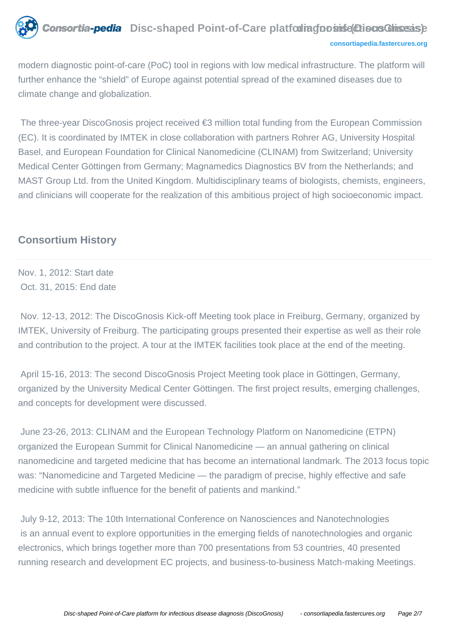

modern diagnostic point-of-care (PoC) tool in regions with low medical infrastructure. The platform will further enhance the "shield" of Europe against potential spread of the examined diseases due to climate change and globalization.

 The three-year DiscoGnosis project received €3 million total funding from the European Commission (EC). It is coordinated by IMTEK in close collaboration with partners Rohrer AG, University Hospital Basel, and European Foundation for Clinical Nanomedicine (CLINAM) from Switzerland; University Medical Center Göttingen from Germany; Magnamedics Diagnostics BV from the Netherlands; and MAST Group Ltd. from the United Kingdom. Multidisciplinary teams of biologists, chemists, engineers, and clinicians will cooperate for the realization of this ambitious project of high socioeconomic impact.

# **Consortium History**

Nov. 1, 2012: Start date Oct. 31, 2015: End date

 Nov. 12-13, 2012: The DiscoGnosis Kick-off Meeting took place in Freiburg, Germany, organized by IMTEK, University of Freiburg. The participating groups presented their expertise as well as their role and contribution to the project. A tour at the IMTEK facilities took place at the end of the meeting.

 April 15-16, 2013: The second DiscoGnosis Project Meeting took place in Göttingen, Germany, organized by the University Medical Center Göttingen. The first project results, emerging challenges, and concepts for development were discussed.

 June 23-26, 2013: CLINAM and the European Technology Platform on Nanomedicine (ETPN) organized the European Summit for Clinical Nanomedicine — an annual gathering on clinical nanomedicine and targeted medicine that has become an international landmark. The 2013 focus topic was: "Nanomedicine and Targeted Medicine — the paradigm of precise, highly effective and safe medicine with subtle influence for the benefit of patients and mankind."

 July 9-12, 2013: The 10th International Conference on Nanosciences and Nanotechnologies is an annual event to explore opportunities in the emerging fields of nanotechnologies and organic electronics, which brings together more than 700 presentations from 53 countries, 40 presented running research and development EC projects, and business-to-business Match-making Meetings.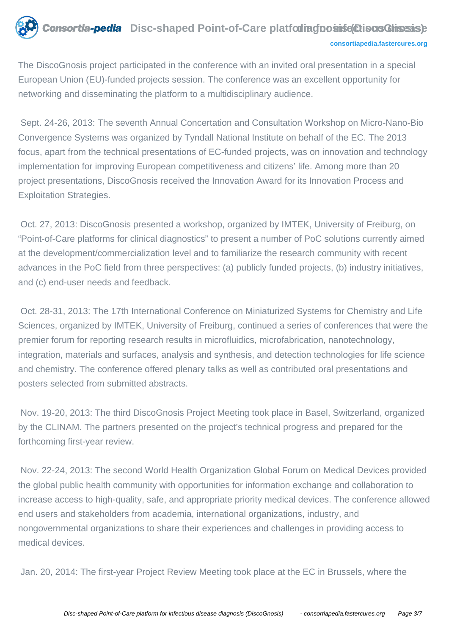

The DiscoGnosis project participated in the conference with an invited oral presentation in a special European Union (EU)-funded projects session. The conference was an excellent opportunity for networking and disseminating the platform to a multidisciplinary audience.

 Sept. 24-26, 2013: The seventh Annual Concertation and Consultation Workshop on Micro-Nano-Bio Convergence Systems was organized by Tyndall National Institute on behalf of the EC. The 2013 focus, apart from the technical presentations of EC-funded projects, was on innovation and technology implementation for improving European competitiveness and citizens' life. Among more than 20 project presentations, DiscoGnosis received the Innovation Award for its Innovation Process and Exploitation Strategies.

 Oct. 27, 2013: DiscoGnosis presented a workshop, organized by IMTEK, University of Freiburg, on "Point-of-Care platforms for clinical diagnostics" to present a number of PoC solutions currently aimed at the development/commercialization level and to familiarize the research community with recent advances in the PoC field from three perspectives: (a) publicly funded projects, (b) industry initiatives, and (c) end-user needs and feedback.

 Oct. 28-31, 2013: The 17th International Conference on Miniaturized Systems for Chemistry and Life Sciences, organized by IMTEK, University of Freiburg, continued a series of conferences that were the premier forum for reporting research results in microfluidics, microfabrication, nanotechnology, integration, materials and surfaces, analysis and synthesis, and detection technologies for life science and chemistry. The conference offered plenary talks as well as contributed oral presentations and posters selected from submitted abstracts.

 Nov. 19-20, 2013: The third DiscoGnosis Project Meeting took place in Basel, Switzerland, organized by the CLINAM. The partners presented on the project's technical progress and prepared for the forthcoming first-year review.

 Nov. 22-24, 2013: The second World Health Organization Global Forum on Medical Devices provided the global public health community with opportunities for information exchange and collaboration to increase access to high-quality, safe, and appropriate priority medical devices. The conference allowed end users and stakeholders from academia, international organizations, industry, and nongovernmental organizations to share their experiences and challenges in providing access to medical devices.

Jan. 20, 2014: The first-year Project Review Meeting took place at the EC in Brussels, where the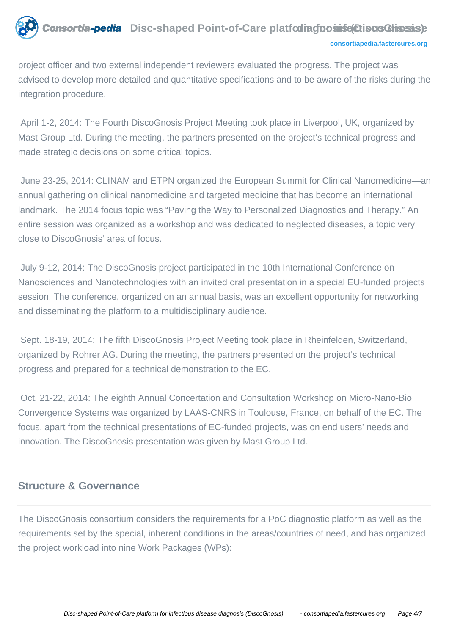

project officer and two external independent reviewers evaluated the progress. The project was advised to develop more detailed and quantitative specifications and to be aware of the risks during the integration procedure.

 April 1-2, 2014: The Fourth DiscoGnosis Project Meeting took place in Liverpool, UK, organized by Mast Group Ltd. During the meeting, the partners presented on the project's technical progress and made strategic decisions on some critical topics.

 June 23-25, 2014: CLINAM and ETPN organized the European Summit for Clinical Nanomedicine—an annual gathering on clinical nanomedicine and targeted medicine that has become an international landmark. The 2014 focus topic was "Paving the Way to Personalized Diagnostics and Therapy." An entire session was organized as a workshop and was dedicated to neglected diseases, a topic very close to DiscoGnosis' area of focus.

 July 9-12, 2014: The DiscoGnosis project participated in the 10th International Conference on Nanosciences and Nanotechnologies with an invited oral presentation in a special EU-funded projects session. The conference, organized on an annual basis, was an excellent opportunity for networking and disseminating the platform to a multidisciplinary audience.

 Sept. 18-19, 2014: The fifth DiscoGnosis Project Meeting took place in Rheinfelden, Switzerland, organized by Rohrer AG. During the meeting, the partners presented on the project's technical progress and prepared for a technical demonstration to the EC.

 Oct. 21-22, 2014: The eighth Annual Concertation and Consultation Workshop on Micro-Nano-Bio Convergence Systems was organized by LAAS-CNRS in Toulouse, France, on behalf of the EC. The focus, apart from the technical presentations of EC-funded projects, was on end users' needs and innovation. The DiscoGnosis presentation was given by Mast Group Ltd.

## **Structure & Governance**

The DiscoGnosis consortium considers the requirements for a PoC diagnostic platform as well as the requirements set by the special, inherent conditions in the areas/countries of need, and has organized the project workload into nine Work Packages (WPs):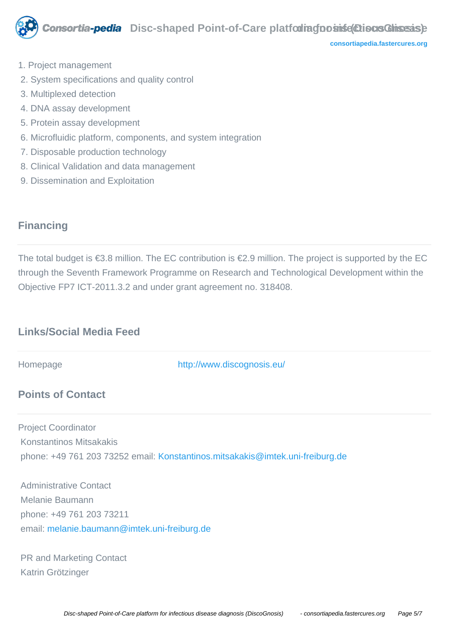

**[consortiapedia.fastercures.org](http://consortiapedia.fastercures.org/)**

- 1. Project management
- 2. System specifications and quality control
- 3. Multiplexed detection
- 4. DNA assay development
- 5. Protein assay development
- 6. Microfluidic platform, components, and system integration
- 7. Disposable production technology
- 8. Clinical Validation and data management
- 9. Dissemination and Exploitation

# **Financing**

The total budget is €3.8 million. The EC contribution is €2.9 million. The project is supported by the EC through the Seventh Framework Programme on Research and Technological Development within the Objective FP7 ICT-2011.3.2 and under grant agreement no. 318408.

# **Links/Social Media Feed**

Homepage <http://www.discognosis.eu/>

# **Points of Contact**

Project Coordinator Konstantinos Mitsakakis phone: +49 761 203 73252 email: [Konstantinos.mitsakakis@imtek.uni-freiburg.de](mailto:melanie.baumann@imtek.uni-freiburg.de)

 Administrative Contact Melanie Baumann phone: +49 761 203 73211 email: [melanie.baumann@imtek.uni-freiburg.de](mailto:melanie.baumann@imtek.uni-freiburg.de)

 PR and Marketing Contact Katrin Grötzinger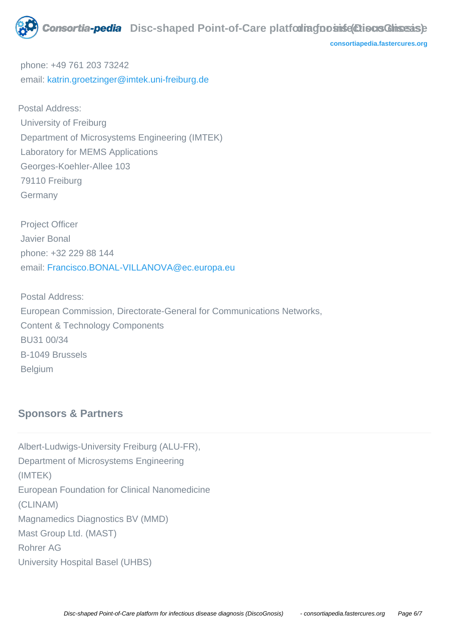

**[consortiapedia.fastercures.org](http://consortiapedia.fastercures.org/)**

 phone: +49 761 203 73242 email: [katrin.groetzinger@imtek.uni-freiburg.de](mailto:katrin.groetzinger@imtek.uni-freiburg.de)

Postal Address: University of Freiburg Department of Microsystems Engineering (IMTEK) Laboratory for MEMS Applications Georges-Koehler-Allee 103 79110 Freiburg Germany

 Project Officer Javier Bonal phone: +32 229 88 144 email: [Francisco.BONAL-VILLANOVA@ec.europa.eu](mailto:Francisco.BONAL-VILLANOVA@ec.europa.eu)

 Postal Address: European Commission, Directorate-General for Communications Networks, Content & Technology Components BU31 00/34 B-1049 Brussels Belgium

# **Sponsors & Partners**

Albert-Ludwigs-University Freiburg (ALU-FR), Department of Microsystems Engineering (IMTEK) European Foundation for Clinical Nanomedicine (CLINAM) Magnamedics Diagnostics BV (MMD) Mast Group Ltd. (MAST) Rohrer AG University Hospital Basel (UHBS)